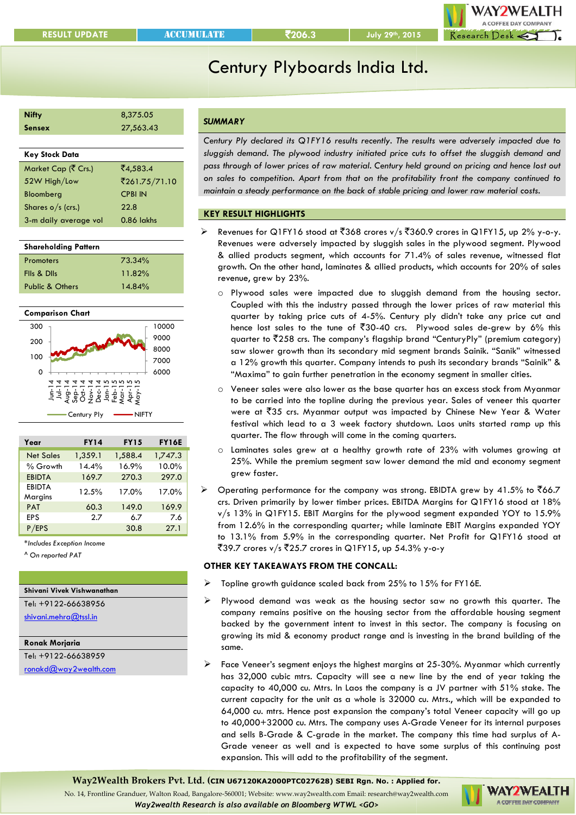

# Century Plyboards India Ltd.

| <b>Nifty</b>  | 8,375.05  |
|---------------|-----------|
| <b>Sensex</b> | 27,563.43 |

## Key Stock Data Market Cap ( $\bar{\zeta}$  Crs.)  $\bar{\zeta}$ 4,583.4 52W High/Low `261.75/71.10 Bloomberg CPBI IN Shares  $o/s$  (crs.) 22.8 3-m daily average vol 0.86 lakhs

| <b>Shareholding Pattern</b> |        |
|-----------------------------|--------|
| Promoters                   | 73.34% |
| Fils & Dils                 | 11.82% |
| <b>Public &amp; Others</b>  | 14.84% |





| Year                     | <b>FY14</b> | <b>FY15</b> | <b>FY16E</b> |
|--------------------------|-------------|-------------|--------------|
| <b>Net Sales</b>         | 1,359.1     | 1,588.4     | 1,747.3      |
| % Growth                 | 14.4%       | 16.9%       | 10.0%        |
| <b>EBIDTA</b>            | 169.7       | 270.3       | 297.0        |
| <b>EBIDTA</b><br>Margins | 12.5%       | 17.0%       | 17.0%        |
| <b>PAT</b>               | 60.3        | 149.0       | 169.9        |
| <b>EPS</b>               | 2.7         | 6.7         | 7.6          |
| P/EPS                    |             | 30.8        | 27.1         |

\*Includes Exception Income

^ On reported PAT

### Shivani Vivek Vishwanathan

Tel: +9122-66638956

shivani.mehra@tssl.in

#### Ronak Morjaria

Tel: +9122-66638959

ronakd@way2wealth.com

### **SUMMARY**

Century Ply Ply declared its Q1FY16 results recently. The results were adversely impacted due to sluggish demand. The plywood industry initiated price cuts to offset the sluggish demand and pass through of lower prices of raw material. Century held ground on pricing and hence lost out on sales to competition. Apart from that on the profitability front the company continued to maintain a steady performance on the back of stable pricing and lower raw material costs.

### KEY RESULT HIGHLIGHTS

- $\blacktriangleright$ Revenues for Q1FY16 stood at  $\bar{c}$ 368 crores v/s  $\bar{c}$ 360.9 crores in Q1FY15, up 2% y-o-y. Revenues were adversely impacted by sluggish sales in the plywood segment. Plywood & allied products segment, which accounts for 71.4% of sales revenue, witnessed flat growth. On the other hand, laminates & allied products, which accounts for 20% of sales revenue, grew by 23%.
	- o Plywood sales were impacted due to sluggish demand from the housing sector. Coupled with this the industry passed through the lower prices of raw material this quarter by taking price cuts of 4-5%. Century ply didn't take any price cut and hence lost sales to the tune of  $\overline{5}30$ -40 crs. Plywood sales de-grew by 6% this quarter to ₹258 crs. The company's flagship brand "CenturyPly" (premium category) saw slower growth than its secondary mid segment brands Sainik. "Sanik" witnessed a 12% growth this quarter. Company intends to push its secondary brands "Sainik" & "Maxima" to gain further penetration in the economy segment in smaller cities.
	- o Veneer sales were also lower as the base quarter has an excess stock from Myanmar to be carried into the topline during the previous year. Sales of veneer this quarter were at  $\overline{3}35$  crs. Myanmar output was impacted by Chinese New Year & Water festival which lead to a 3 week factory shutdown. Laos units started ramp up this quarter. The flow through will come in the coming quarters.
	- o Laminates sales grew at a healthy growth rate of 23% with volumes growing at 25%. While the premium segment saw lower demand the mid and economy segment grew faster.
- $\blacktriangleright$ Operating performance for the company was strong. EBIDTA grew by 41.5% to  $\bar{c}$ 66.7 crs. Driven primarily by lower timber prices. EBITDA Margins for Q1FY16 stood at 18% v/s 13% in Q1FY15. EBIT Margins for the plywood segment expanded YOY to 15.9% from 12.6% in the corresponding quarter; while laminate EBIT Margins expanded YOY to 13.1% from 5.9% in the corresponding quarter. Net Profit for Q1FY16 stood at रें39.7 crores v/s रैं25.7 crores in Q1FY15, up 54.3% y-o-y

### OTHER KEY TAKEAWAYS FROM THE CONCALL:

- $\blacktriangleright$ Topline growth guidance scaled back from 25% to 15% for FY16E.
- $\blacktriangleright$  Plywood demand was weak as the housing sector saw no growth this quarter. The company remains positive on the housing sector from the affordable housing segment backed by the government intent to invest in this sector. The company is focusing on growing its mid & economy product range and is investing in the brand building of the same.
- $\blacktriangleright$  Face Veneer's segment enjoys the highest margins at 25 25-30%. Myanmar which currently has 32,000 cubic mtrs. Capacity will see a new line by the end of year taking the capacity to 40,000 cu. Mtrs. In Laos the company is a JV partner with 51% stake. The current capacity for the unit as a whole is 32000 cu. Mtrs., which will be expanded to 64,000 cu. mtrs. Hence post expansion the company's total Veneer capacity will go up to 40,000+32000 cu. Mtrs. The company uses A-Grade Veneer for its internal purposes to 40,000+32000 cu. Mtrs. The company uses A-Grade Veneer for its internal purposes<br>and sells B-Grade & C-grade in the market. The company this time had surplus of A-Grade veneer as well and is expected to have some surplus of this continuing post expansion. This will add to the profitability of the segment.

Way2Wealth Brokers Pvt. Ltd. ( CIN U67120KA2000PTC027628) SEBI Rgn. No. : Applie plied for.

No. 14, Frontline Granduer, Walton Road, Bangalore-560001; Website: www.way2wealth.com Email: research@way2wealth.com Way2wealth Research is also available on Bloomberg WTWL <GO>

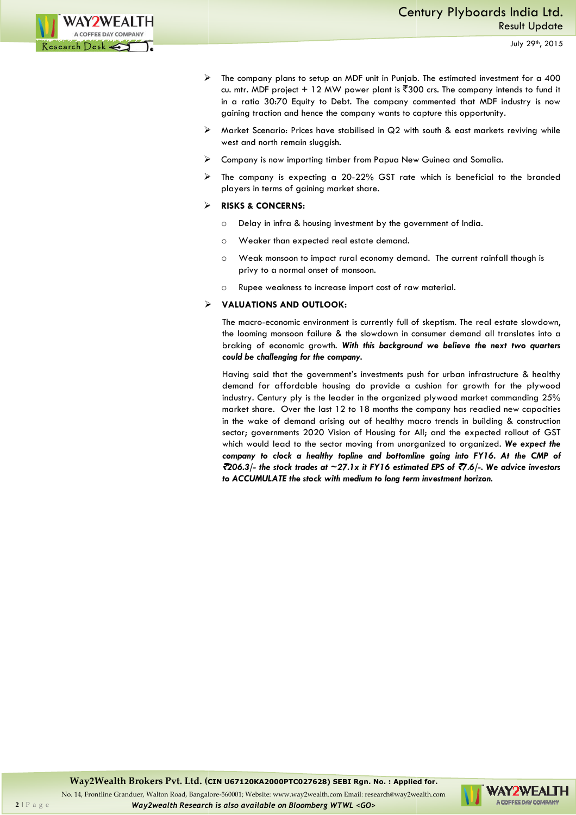July 29th, 2015



- $\blacktriangleright$  The company plans to setup an MDF unit in Punjab. The estimated investment for a 400 cu. mtr. MDF project + 12 MW power plant is  $\bar{z}$ 300 crs. The company intends to fund it in a ratio 30:70 Equity to Debt. The company commented that MDF industry is now gaining traction and hence the company wants to capture this opportunity.
- $\blacktriangleright$  Market Scenario: Prices have stabilised in Q2 with south & east markets reviving while west and north remain sluggish.
- Company is now importing timber from Papua New Guinea and Somalia.
- $\blacktriangleright$  The company is expecting a 20-22% GST rate which is beneficial to the branded players in terms of gaining market share. 22% GST rate which is k<br>share.<br>ment by the government of<br>state demand.<br>I economy demand. The cu<br>ssoon.<br>nport cost of raw material.

#### $\blacktriangleright$ RISKS & CONCERNS:

- o Delay in infra & housing investment by the government of India.
- o Weaker than expected real estate demand.
- o Weak monsoon to impact rural economy demand. The current rainfall though is privy to a normal onset of monsoon.
- Rupee weakness to increase import cost of raw material.

#### $\blacktriangleright$ VALUATIONS AND OUTLOOK:

The macro-economic environment is currently full of skeptism. The real estate slowdown, the looming monsoon failure & the slowdown in consumer demand all translates into a braking of economic growth. With this background we believe the next two quarters could be challenging for the company.

Having said that the government's investments push for urban infrastructure & healthy demand for affordable housing do provide a cushion for growth for the plywood industry. Century ply is the leader in the organized plywood market commanding 25% market share. Over the last 12 to 18 months the company has readied new capacities in the wake of demand arising out of healthy macro trends in building & construction sector; governments 2020 Vision of Housing for All; and the expected rollout of GST which would lead to the sector moving from unorganized to organized. We expect the company to clock a healthy topline and bottomline going into FY16. At the CMP of  $\overline{2}206.3$ /- the stock trades at ~27.1x it FY16 estimated EPS of  $\overline{27.6}$ /-. We advice investors to ACCUMULATE the stock with medium to long term investment horizon.

Way2Wealth Brokers Pvt. Ltd. (c1n u67120KA2000PTC027628) SEBI Rgn. No. : Applied for.

No. 14, Frontline Granduer, Walton Road, Bangalore-560001; Website: www.way2wealth.com Email: research@way2wealth.com 2 | P a g e **Way2wealth Research is also available on Bloomberg WTWL <GO>** 

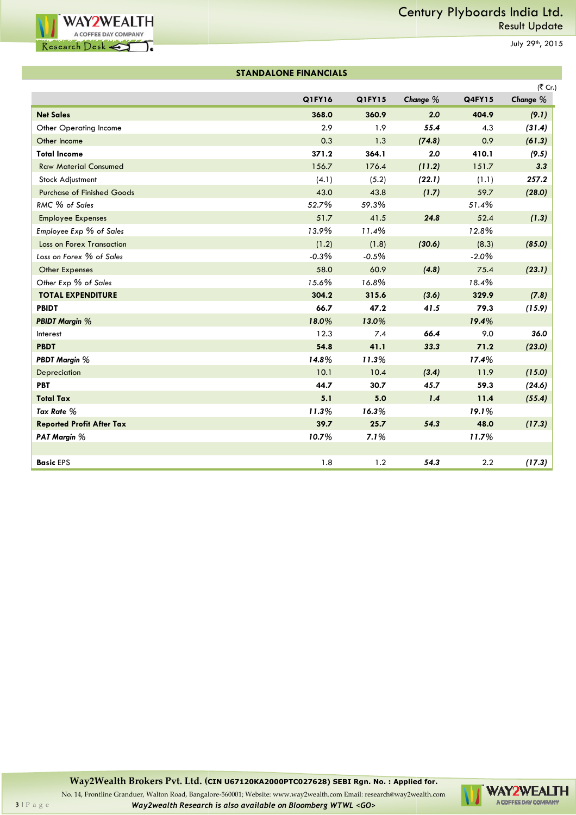

Century Plyboards India Ltd. Result Update

July 29th, 2015

| <b>STANDALONE FINANCIALS</b>      |               |         |          |         |          |
|-----------------------------------|---------------|---------|----------|---------|----------|
|                                   |               |         |          |         | (₹ Cr.)  |
|                                   | <b>Q1FY16</b> | Q1FY15  | Change % | Q4FY15  | Change % |
| <b>Net Sales</b>                  | 368.0         | 360.9   | 2.0      | 404.9   | (9.1)    |
| <b>Other Operating Income</b>     | 2.9           | 1.9     | 55.4     | 4.3     | (31.4)   |
| Other Income                      | 0.3           | 1.3     | (74.8)   | 0.9     | (61.3)   |
| <b>Total Income</b>               | 371.2         | 364.1   | 2.0      | 410.1   | (9.5)    |
| <b>Raw Material Consumed</b>      | 156.7         | 176.4   | (11.2)   | 151.7   | 3.3      |
| Stock Adjustment                  | (4.1)         | (5.2)   | (22.1)   | (1.1)   | 257.2    |
| <b>Purchase of Finished Goods</b> | 43.0          | 43.8    | (1.7)    | 59.7    | (28.0)   |
| RMC % of Sales                    | 52.7%         | 59.3%   |          | 51.4%   |          |
| <b>Employee Expenses</b>          | 51.7          | 41.5    | 24.8     | 52.4    | (1.3)    |
| Employee Exp % of Sales           | 13.9%         | 11.4%   |          | 12.8%   |          |
| <b>Loss on Forex Transaction</b>  | (1.2)         | (1.8)   | (30.6)   | (8.3)   | (85.0)   |
| Loss on Forex % of Sales          | $-0.3%$       | $-0.5%$ |          | $-2.0%$ |          |
| <b>Other Expenses</b>             | 58.0          | 60.9    | (4.8)    | 75.4    | (23.1)   |
| Other Exp % of Sales              | 15.6%         | 16.8%   |          | 18.4%   |          |
| <b>TOTAL EXPENDITURE</b>          | 304.2         | 315.6   | (3.6)    | 329.9   | (7.8)    |
| <b>PBIDT</b>                      | 66.7          | 47.2    | 41.5     | 79.3    | (15.9)   |
| <b>PBIDT Margin %</b>             | 18.0%         | 13.0%   |          | 19.4%   |          |
| Interest                          | 12.3          | 7.4     | 66.4     | 9.0     | 36.0     |
| <b>PBDT</b>                       | 54.8          | 41.1    | 33.3     | 71.2    | (23.0)   |
| <b>PBDT Margin %</b>              | 14.8%         | 11.3%   |          | 17.4%   |          |
| Depreciation                      | 10.1          | 10.4    | (3.4)    | 11.9    | (15.0)   |
| <b>PBT</b>                        | 44.7          | 30.7    | 45.7     | 59.3    | (24.6)   |
| <b>Total Tax</b>                  | 5.1           | 5.0     | 1.4      | 11.4    | (55.4)   |
| Tax Rate %                        | 11.3%         | 16.3%   |          | 19.1%   |          |
| <b>Reported Profit After Tax</b>  | 39.7          | 25.7    | 54.3     | 48.0    | (17.3)   |
| <b>PAT Margin %</b>               | 10.7%         | 7.1%    |          | 11.7%   |          |
|                                   |               |         |          |         |          |
| <b>Basic EPS</b>                  | 1.8           | 1.2     | 54.3     | 2.2     | (17.3)   |

Way2Wealth Brokers Pvt. Ltd. (c1n u67120KA2000PTC027628) SEBI Rgn. No. : Applied for.

No. 14, Frontline Granduer, Walton Road, Bangalore-560001; Website: www.way2wealth.com Email: research@way2wealth.com 3 | P a g e **Way2wealth Research is also available on Bloomberg WTWL <GO>** 

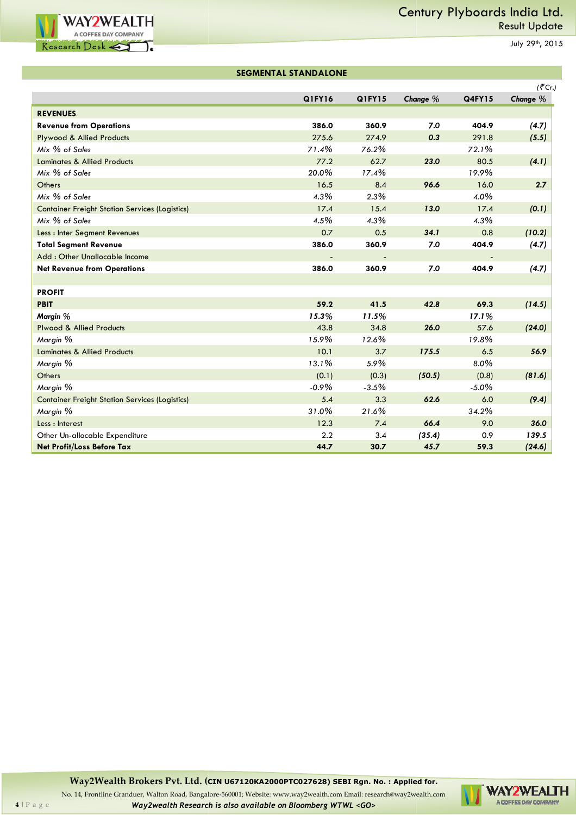

Century Plyboards India Ltd. Result Update

July 29th, 2015

|                                                       | <b>SEGMENTAL STANDALONE</b> |               |          |         |                     |
|-------------------------------------------------------|-----------------------------|---------------|----------|---------|---------------------|
|                                                       |                             |               |          |         | $({\bar \tau}$ Cr.) |
|                                                       | <b>Q1FY16</b>               | <b>Q1FY15</b> | Change % | Q4FY15  | Change %            |
| <b>REVENUES</b>                                       |                             |               |          |         |                     |
| <b>Revenue from Operations</b>                        | 386.0                       | 360.9         | 7.0      | 404.9   | (4.7)               |
| Plywood & Allied Products                             | 275.6                       | 274.9         | 0.3      | 291.8   | (5.5)               |
| Mix % of Sales                                        | 71.4%                       | 76.2%         |          | 72.1%   |                     |
| <b>Laminates &amp; Allied Products</b>                | 77.2                        | 62.7          | 23.0     | 80.5    | (4.1)               |
| Mix % of Sales                                        | 20.0%                       | 17.4%         |          | 19.9%   |                     |
| Others                                                | 16.5                        | 8.4           | 96.6     | 16.0    | 2.7                 |
| Mix % of Sales                                        | 4.3%                        | 2.3%          |          | 4.0%    |                     |
| <b>Container Freight Station Services (Logistics)</b> | 17.4                        | 15.4          | 13.0     | 17.4    | (0.1)               |
| Mix % of Sales                                        | 4.5%                        | 4.3%          |          | 4.3%    |                     |
| Less : Inter Segment Revenues                         | 0.7                         | 0.5           | 34.1     | 0.8     | (10.2)              |
| <b>Total Segment Revenue</b>                          | 386.0                       | 360.9         | 7.0      | 404.9   | (4.7)               |
| Add: Other Unallocable Income                         |                             |               |          |         |                     |
| <b>Net Revenue from Operations</b>                    | 386.0                       | 360.9         | 7.0      | 404.9   | (4.7)               |
|                                                       |                             |               |          |         |                     |
| <b>PROFIT</b>                                         |                             |               |          |         |                     |
| <b>PBIT</b>                                           | 59.2                        | 41.5          | 42.8     | 69.3    | (14.5)              |
| Margin %                                              | 15.3%                       | 11.5%         |          | 17.1%   |                     |
| <b>Plwood &amp; Allied Products</b>                   | 43.8                        | 34.8          | 26.0     | 57.6    | (24.0)              |
| Margin %                                              | 15.9%                       | 12.6%         |          | 19.8%   |                     |
| <b>Laminates &amp; Allied Products</b>                | 10.1                        | 3.7           | 175.5    | 6.5     | 56.9                |
| Margin %                                              | 13.1%                       | 5.9%          |          | 8.0%    |                     |
| Others                                                | (0.1)                       | (0.3)         | (50.5)   | (0.8)   | (81.6)              |
| Margin %                                              | $-0.9%$                     | $-3.5%$       |          | $-5.0%$ |                     |
| <b>Container Freight Station Services (Logistics)</b> | 5.4                         | 3.3           | 62.6     | 6.0     | (9.4)               |
| Margin %                                              | 31.0%                       | 21.6%         |          | 34.2%   |                     |
| Less : Interest                                       | 12.3                        | 7.4           | 66.4     | 9.0     | 36.0                |
| Other Un-allocable Expenditure                        | 2.2                         | 3.4           | (35.4)   | 0.9     | 139.5               |
| <b>Net Profit/Loss Before Tax</b>                     | 44.7                        | 30.7          | 45.7     | 59.3    | (24.6)              |

Way2Wealth Brokers Pvt. Ltd. (c1n u67120KA2000PTC027628) SEBI Rgn. No. : Applied for.

No. 14, Frontline Granduer, Walton Road, Bangalore-560001; Website: www.way2wealth.com Email: research@way2wealth.com 4 | P a g e **Way2wealth Research is also available on Bloomberg WTWL <GO>** 

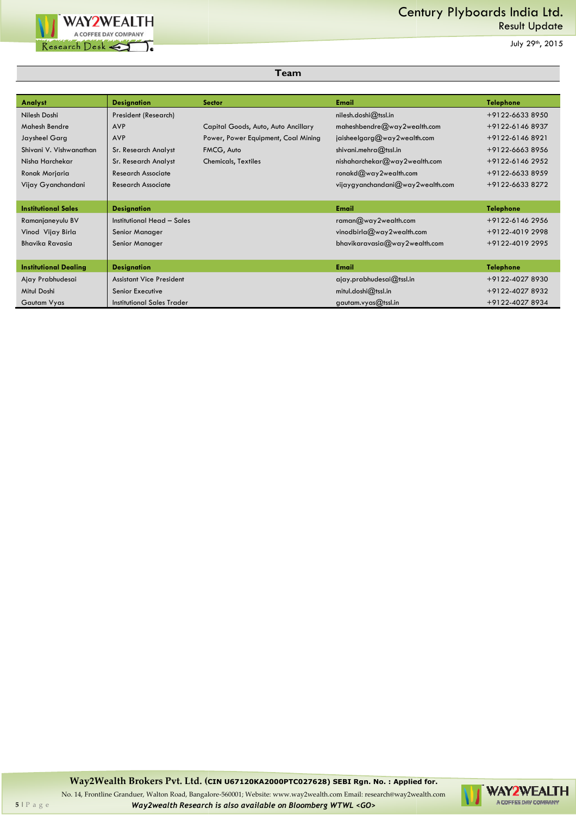

# Century Plyboards India Ltd. Result Update

July 29th, 2015

| Analyst                      | <b>Designation</b>              | <b>Sector</b>                       | <b>Email</b>                     | <b>Telephone</b> |
|------------------------------|---------------------------------|-------------------------------------|----------------------------------|------------------|
| Nilesh Doshi                 | President (Research)            |                                     | nilesh.dosh(@tssl.in             | +9122-6633 8950  |
| Mahesh Bendre                | <b>AVP</b>                      | Capital Goods, Auto, Auto Ancillary | maheshbendre@way2wealth.com      | +9122-6146 8937  |
| Jaysheel Garg                | <b>AVP</b>                      | Power, Power Equipment, Coal Mining | jaisheelgarg@way2wealth.com      | +9122-6146 8921  |
| Shivani V. Vishwanathan      | Sr. Research Analyst            | FMCG, Auto                          | shivani.mehra@tssl.in            | +9122-6663 8956  |
| Nisha Harchekar              | Sr. Research Analyst            | <b>Chemicals, Textiles</b>          | nishaharchekar@way2wealth.com    | +9122-6146 2952  |
| Ronak Morjaria               | Research Associate              |                                     | ronakd $@$ way2wealth.com        | +9122-6633 8959  |
| Vijay Gyanchandani           | Research Associate              |                                     | vijaygyanchandani@way2wealth.com | +9122-6633 8272  |
|                              |                                 |                                     |                                  |                  |
| <b>Institutional Sales</b>   | <b>Designation</b>              |                                     | <b>Email</b>                     | <b>Telephone</b> |
| Ramanjaneyulu BV             | Institutional Head - Sales      |                                     | raman $@$ way2wealth.com         | +9122-6146 2956  |
| Vinod Vijay Birla            | Senior Manager                  |                                     | vinodbirla@way2wealth.com        | +9122-4019 2998  |
| Bhavika Ravasia              | Senior Manager                  |                                     | bhavikaravasia@way2wealth.com    | +9122-4019 2995  |
|                              |                                 |                                     |                                  |                  |
| <b>Institutional Dealing</b> | <b>Designation</b>              |                                     | <b>Email</b>                     | <b>Telephone</b> |
| Ajay Prabhudesai             | <b>Assistant Vice President</b> |                                     | $q$ iay.prabhudesai $@$ tssl.in  | +9122-4027 8930  |
| Mitul Doshi                  | Senior Executive                |                                     | mitul.doshi $@$ tssl.in          | +9122-4027 8932  |
| Gautam Vyas                  | Institutional Sales Trader      |                                     | gautam.vyas $@$ tssl.in          | +9122-4027 8934  |

Team

Way2Wealth Brokers Pvt. Ltd. (c1n u67120KA2000PTC027628) SEBI Rgn. No. : Applied for.

No. 14, Frontline Granduer, Walton Road, Bangalore-560001; Website: www.way2wealth.com Email: research@way2wealth.com 5 | P a g e **Way2wealth Research is also available on Bloomberg WTWL <GO>**